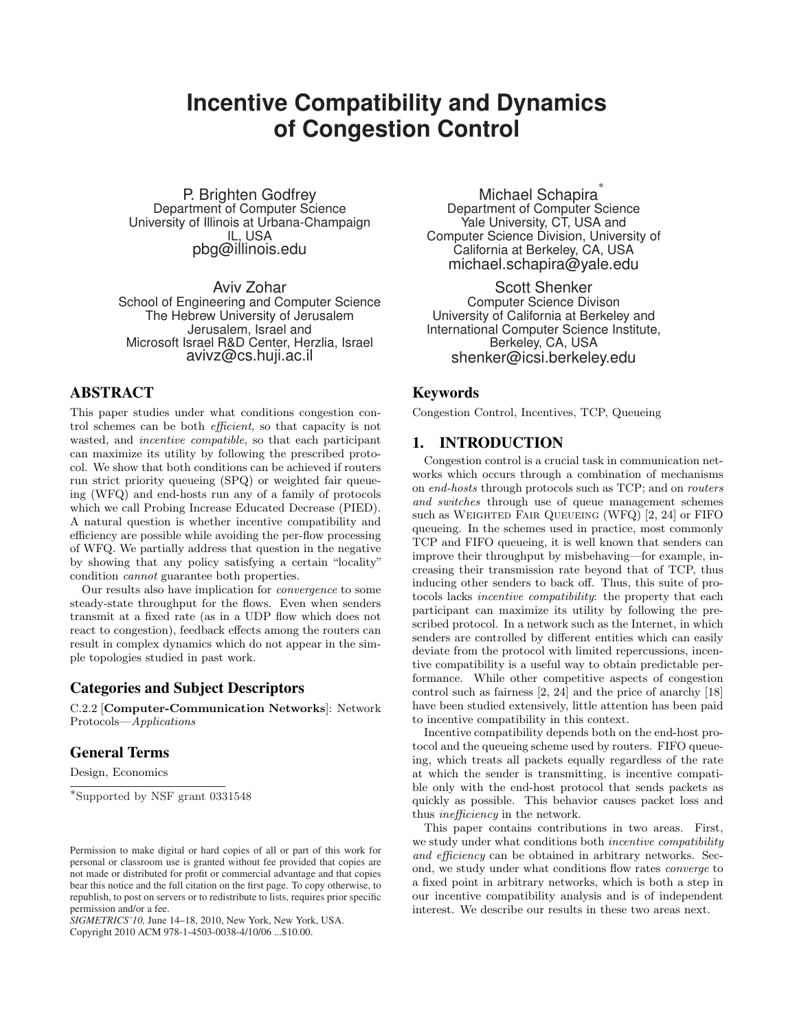# **Incentive Compatibility and Dynamics of Congestion Control**

P. Brighten Godfrey Department of Computer Science University of Illinois at Urbana-Champaign IL, USA pbg@illinois.edu

Aviv Zohar School of Engineering and Computer Science The Hebrew University of Jerusalem Jerusalem, Israel and Microsoft Israel R&D Center, Herzlia, Israel avivz@cs.huji.ac.il

# ABSTRACT

This paper studies under what conditions congestion control schemes can be both efficient, so that capacity is not wasted, and *incentive compatible*, so that each participant can maximize its utility by following the prescribed protocol. We show that both conditions can be achieved if routers run strict priority queueing (SPQ) or weighted fair queueing (WFQ) and end-hosts run any of a family of protocols which we call Probing Increase Educated Decrease (PIED). A natural question is whether incentive compatibility and efficiency are possible while avoiding the per-flow processing of WFQ. We partially address that question in the negative by showing that any policy satisfying a certain "locality" condition cannot guarantee both properties.

Our results also have implication for convergence to some steady-state throughput for the flows. Even when senders transmit at a fixed rate (as in a UDP flow which does not react to congestion), feedback effects among the routers can result in complex dynamics which do not appear in the simple topologies studied in past work.

# Categories and Subject Descriptors

C.2.2 [Computer-Communication Networks]: Network Protocols—Applications

# General Terms

Design, Economics

∗ Supported by NSF grant 0331548

*SIGMETRICS'10,* June 14–18, 2010, New York, New York, USA. Copyright 2010 ACM 978-1-4503-0038-4/10/06 ...\$10.00.

Michael Schapira<sup>\*</sup> Department of Computer Science Yale University, CT, USA and Computer Science Division, University of California at Berkeley, CA, USA michael.schapira@yale.edu

Scott Shenker Computer Science Divison University of California at Berkeley and International Computer Science Institute, Berkeley, CA, USA shenker@icsi.berkeley.edu

# Keywords

Congestion Control, Incentives, TCP, Queueing

# 1. INTRODUCTION

Congestion control is a crucial task in communication networks which occurs through a combination of mechanisms on end-hosts through protocols such as TCP; and on routers and switches through use of queue management schemes such as WEIGHTED FAIR QUEUEING (WFQ) [2, 24] or FIFO queueing. In the schemes used in practice, most commonly TCP and FIFO queueing, it is well known that senders can improve their throughput by misbehaving—for example, increasing their transmission rate beyond that of TCP, thus inducing other senders to back off. Thus, this suite of protocols lacks incentive compatibility: the property that each participant can maximize its utility by following the prescribed protocol. In a network such as the Internet, in which senders are controlled by different entities which can easily deviate from the protocol with limited repercussions, incentive compatibility is a useful way to obtain predictable performance. While other competitive aspects of congestion control such as fairness [2, 24] and the price of anarchy [18] have been studied extensively, little attention has been paid to incentive compatibility in this context.

Incentive compatibility depends both on the end-host protocol and the queueing scheme used by routers. FIFO queueing, which treats all packets equally regardless of the rate at which the sender is transmitting, is incentive compatible only with the end-host protocol that sends packets as quickly as possible. This behavior causes packet loss and thus inefficiency in the network.

This paper contains contributions in two areas. First, we study under what conditions both *incentive compatibility* and efficiency can be obtained in arbitrary networks. Second, we study under what conditions flow rates converge to a fixed point in arbitrary networks, which is both a step in our incentive compatibility analysis and is of independent interest. We describe our results in these two areas next.

Permission to make digital or hard copies of all or part of this work for personal or classroom use is granted without fee provided that copies are not made or distributed for profit or commercial advantage and that copies bear this notice and the full citation on the first page. To copy otherwise, to republish, to post on servers or to redistribute to lists, requires prior specific permission and/or a fee.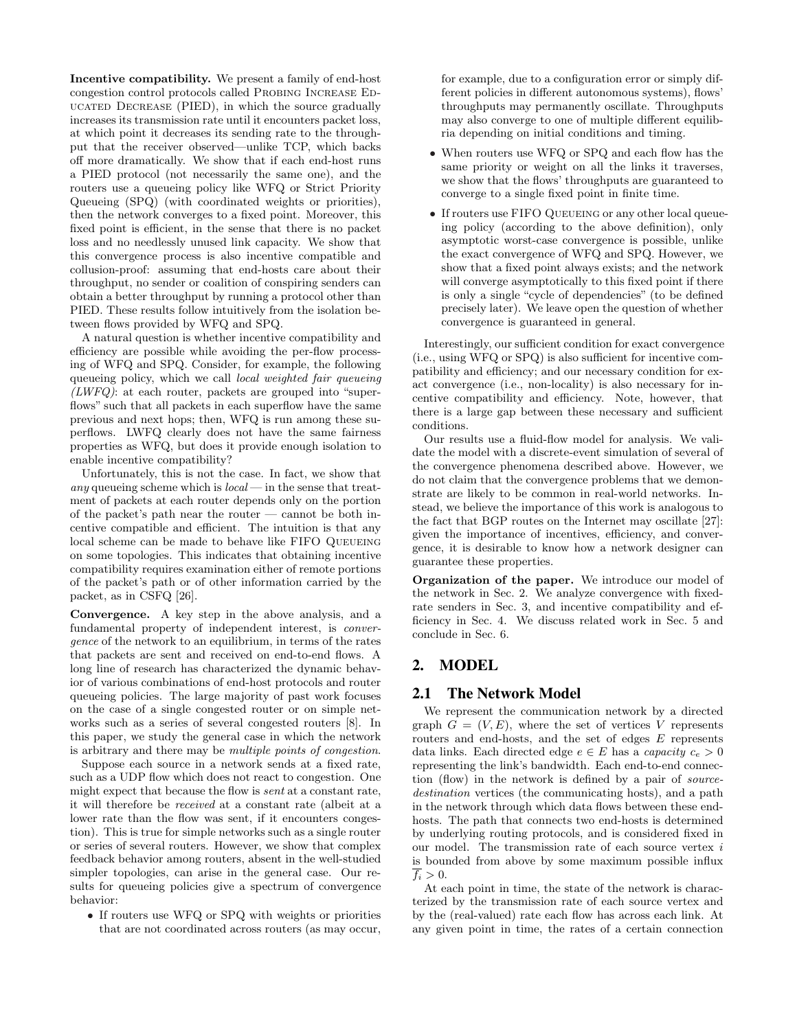Incentive compatibility. We present a family of end-host congestion control protocols called Probing Increase Educated Decrease (PIED), in which the source gradually increases its transmission rate until it encounters packet loss, at which point it decreases its sending rate to the throughput that the receiver observed—unlike TCP, which backs off more dramatically. We show that if each end-host runs a PIED protocol (not necessarily the same one), and the routers use a queueing policy like WFQ or Strict Priority Queueing (SPQ) (with coordinated weights or priorities), then the network converges to a fixed point. Moreover, this fixed point is efficient, in the sense that there is no packet loss and no needlessly unused link capacity. We show that this convergence process is also incentive compatible and collusion-proof: assuming that end-hosts care about their throughput, no sender or coalition of conspiring senders can obtain a better throughput by running a protocol other than PIED. These results follow intuitively from the isolation between flows provided by WFQ and SPQ.

A natural question is whether incentive compatibility and efficiency are possible while avoiding the per-flow processing of WFQ and SPQ. Consider, for example, the following queueing policy, which we call local weighted fair queueing  $(LWFQ)$ : at each router, packets are grouped into "superflows" such that all packets in each superflow have the same previous and next hops; then, WFQ is run among these superflows. LWFQ clearly does not have the same fairness properties as WFQ, but does it provide enough isolation to enable incentive compatibility?

Unfortunately, this is not the case. In fact, we show that any queueing scheme which is  $local$ — in the sense that treatment of packets at each router depends only on the portion of the packet's path near the router — cannot be both incentive compatible and efficient. The intuition is that any local scheme can be made to behave like FIFO QUEUEING on some topologies. This indicates that obtaining incentive compatibility requires examination either of remote portions of the packet's path or of other information carried by the packet, as in CSFQ [26].

Convergence. A key step in the above analysis, and a fundamental property of independent interest, is convergence of the network to an equilibrium, in terms of the rates that packets are sent and received on end-to-end flows. A long line of research has characterized the dynamic behavior of various combinations of end-host protocols and router queueing policies. The large majority of past work focuses on the case of a single congested router or on simple networks such as a series of several congested routers [8]. In this paper, we study the general case in which the network is arbitrary and there may be multiple points of congestion.

Suppose each source in a network sends at a fixed rate, such as a UDP flow which does not react to congestion. One might expect that because the flow is sent at a constant rate, it will therefore be received at a constant rate (albeit at a lower rate than the flow was sent, if it encounters congestion). This is true for simple networks such as a single router or series of several routers. However, we show that complex feedback behavior among routers, absent in the well-studied simpler topologies, can arise in the general case. Our results for queueing policies give a spectrum of convergence behavior:

• If routers use WFQ or SPQ with weights or priorities that are not coordinated across routers (as may occur,

for example, due to a configuration error or simply different policies in different autonomous systems), flows' throughputs may permanently oscillate. Throughputs may also converge to one of multiple different equilibria depending on initial conditions and timing.

- When routers use WFQ or SPQ and each flow has the same priority or weight on all the links it traverses, we show that the flows' throughputs are guaranteed to converge to a single fixed point in finite time.
- If routers use FIFO QUEUEING or any other local queueing policy (according to the above definition), only asymptotic worst-case convergence is possible, unlike the exact convergence of WFQ and SPQ. However, we show that a fixed point always exists; and the network will converge asymptotically to this fixed point if there is only a single "cycle of dependencies" (to be defined precisely later). We leave open the question of whether convergence is guaranteed in general.

Interestingly, our sufficient condition for exact convergence (i.e., using WFQ or SPQ) is also sufficient for incentive compatibility and efficiency; and our necessary condition for exact convergence (i.e., non-locality) is also necessary for incentive compatibility and efficiency. Note, however, that there is a large gap between these necessary and sufficient conditions.

Our results use a fluid-flow model for analysis. We validate the model with a discrete-event simulation of several of the convergence phenomena described above. However, we do not claim that the convergence problems that we demonstrate are likely to be common in real-world networks. Instead, we believe the importance of this work is analogous to the fact that BGP routes on the Internet may oscillate [27]: given the importance of incentives, efficiency, and convergence, it is desirable to know how a network designer can guarantee these properties.

Organization of the paper. We introduce our model of the network in Sec. 2. We analyze convergence with fixedrate senders in Sec. 3, and incentive compatibility and efficiency in Sec. 4. We discuss related work in Sec. 5 and conclude in Sec. 6.

# 2. MODEL

# 2.1 The Network Model

We represent the communication network by a directed graph  $G = (V, E)$ , where the set of vertices V represents routers and end-hosts, and the set of edges E represents data links. Each directed edge  $e \in E$  has a capacity  $c_e > 0$ representing the link's bandwidth. Each end-to-end connection (flow) in the network is defined by a pair of sourcedestination vertices (the communicating hosts), and a path in the network through which data flows between these endhosts. The path that connects two end-hosts is determined by underlying routing protocols, and is considered fixed in our model. The transmission rate of each source vertex i is bounded from above by some maximum possible influx  $f_i > 0$ .

At each point in time, the state of the network is characterized by the transmission rate of each source vertex and by the (real-valued) rate each flow has across each link. At any given point in time, the rates of a certain connection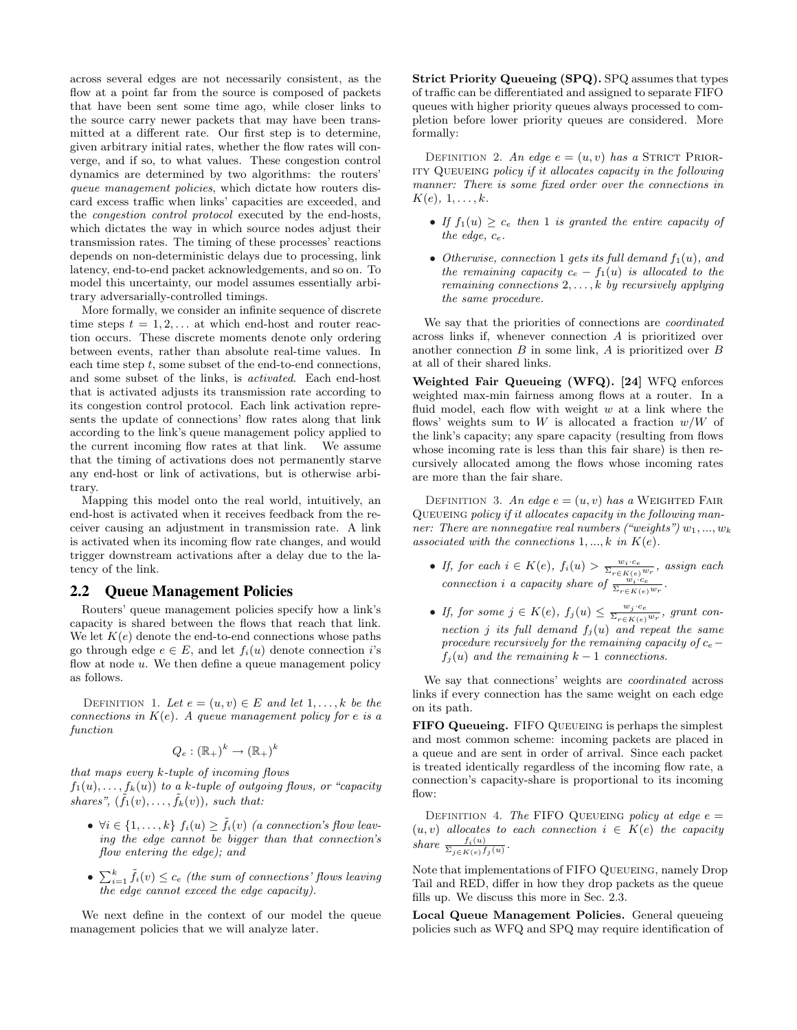across several edges are not necessarily consistent, as the flow at a point far from the source is composed of packets that have been sent some time ago, while closer links to the source carry newer packets that may have been transmitted at a different rate. Our first step is to determine, given arbitrary initial rates, whether the flow rates will converge, and if so, to what values. These congestion control dynamics are determined by two algorithms: the routers' queue management policies, which dictate how routers discard excess traffic when links' capacities are exceeded, and the congestion control protocol executed by the end-hosts, which dictates the way in which source nodes adjust their transmission rates. The timing of these processes' reactions depends on non-deterministic delays due to processing, link latency, end-to-end packet acknowledgements, and so on. To model this uncertainty, our model assumes essentially arbitrary adversarially-controlled timings.

More formally, we consider an infinite sequence of discrete time steps  $t = 1, 2, \ldots$  at which end-host and router reaction occurs. These discrete moments denote only ordering between events, rather than absolute real-time values. In each time step  $t$ , some subset of the end-to-end connections, and some subset of the links, is activated. Each end-host that is activated adjusts its transmission rate according to its congestion control protocol. Each link activation represents the update of connections' flow rates along that link according to the link's queue management policy applied to the current incoming flow rates at that link. We assume that the timing of activations does not permanently starve any end-host or link of activations, but is otherwise arbitrary.

Mapping this model onto the real world, intuitively, an end-host is activated when it receives feedback from the receiver causing an adjustment in transmission rate. A link is activated when its incoming flow rate changes, and would trigger downstream activations after a delay due to the latency of the link.

## 2.2 Queue Management Policies

Routers' queue management policies specify how a link's capacity is shared between the flows that reach that link. We let  $K(e)$  denote the end-to-end connections whose paths go through edge  $e \in E$ , and let  $f_i(u)$  denote connection i's flow at node  $u$ . We then define a queue management policy as follows.

DEFINITION 1. Let  $e = (u, v) \in E$  and let  $1, \ldots, k$  be the connections in  $K(e)$ . A queue management policy for e is a function

$$
Q_e: (\mathbb{R}_+)^k \to (\mathbb{R}_+)^k
$$

that maps every k-tuple of incoming flows  $f_1(u), \ldots, f_k(u)$  to a k-tuple of outgoing flows, or "capacity shares",  $(\tilde{f}_1(v), \ldots, \tilde{f}_k(v))$ , such that:

- $\forall i \in \{1, ..., k\}$   $f_i(u) \geq \tilde{f}_i(v)$  (a connection's flow leaving the edge cannot be bigger than that connection's flow entering the edge); and
- $\sum_{i=1}^{k} \tilde{f}_i(v) \leq c_e$  (the sum of connections' flows leaving the edge cannot exceed the edge capacity).

We next define in the context of our model the queue management policies that we will analyze later.

Strict Priority Queueing (SPQ). SPQ assumes that types of traffic can be differentiated and assigned to separate FIFO queues with higher priority queues always processed to completion before lower priority queues are considered. More formally:

DEFINITION 2. An edge  $e = (u, v)$  has a STRICT PRIOR-ITY QUEUEING policy if it allocates capacity in the following manner: There is some fixed order over the connections in  $K(e), 1, \ldots, k.$ 

- If  $f_1(u) \geq c_e$  then 1 is granted the entire capacity of the edge,  $c_e$ .
- Otherwise, connection 1 gets its full demand  $f_1(u)$ , and the remaining capacity  $c_e - f_1(u)$  is allocated to the remaining connections  $2, \ldots, k$  by recursively applying the same procedure.

We say that the priorities of connections are coordinated across links if, whenever connection A is prioritized over another connection  $B$  in some link,  $A$  is prioritized over  $B$ at all of their shared links.

Weighted Fair Queueing (WFQ). [24] WFQ enforces weighted max-min fairness among flows at a router. In a fluid model, each flow with weight  $w$  at a link where the flows' weights sum to W is allocated a fraction  $w/W$  of the link's capacity; any spare capacity (resulting from flows whose incoming rate is less than this fair share) is then recursively allocated among the flows whose incoming rates are more than the fair share.

DEFINITION 3. An edge  $e = (u, v)$  has a WEIGHTED FAIR Queueing policy if it allocates capacity in the following manner: There are nonnegative real numbers ("weights")  $w_1, ..., w_k$ associated with the connections  $1, ..., k$  in  $K(e)$ .

- If, for each  $i \in K(e)$ ,  $f_i(u) > \frac{w_i \cdot c_e}{\sum_{r \in K(e)} w_r}$ , assign each connection *i* a capacity share of  $\frac{w_i \cdot c_e}{\Sigma_{r \in K(e)} w_r}$ .
- If, for some  $j \in K(e)$ ,  $f_j(u) \leq \frac{w_j \cdot c_e}{\sum_{i} w_i}$  $\frac{w_j \cdot c_e}{\Sigma_{r \in K(e)} w_r}$ , grant connection j its full demand  $f_j(u)$  and repeat the same procedure recursively for the remaining capacity of  $c_e$  –  $f_i(u)$  and the remaining  $k-1$  connections.

We say that connections' weights are coordinated across links if every connection has the same weight on each edge on its path.

FIFO Queueing. FIFO QUEUEING is perhaps the simplest and most common scheme: incoming packets are placed in a queue and are sent in order of arrival. Since each packet is treated identically regardless of the incoming flow rate, a connection's capacity-share is proportional to its incoming flow:

DEFINITION 4. The FIFO QUEUEING policy at edge  $e =$  $(u, v)$  allocates to each connection  $i \in K(e)$  the capacity share  $\frac{f_i(u)}{\Sigma_{j \in K(e)} f_j(u)}$ .

Note that implementations of FIFO QUEUEING, namely Drop Tail and RED, differ in how they drop packets as the queue fills up. We discuss this more in Sec. 2.3.

Local Queue Management Policies. General queueing policies such as WFQ and SPQ may require identification of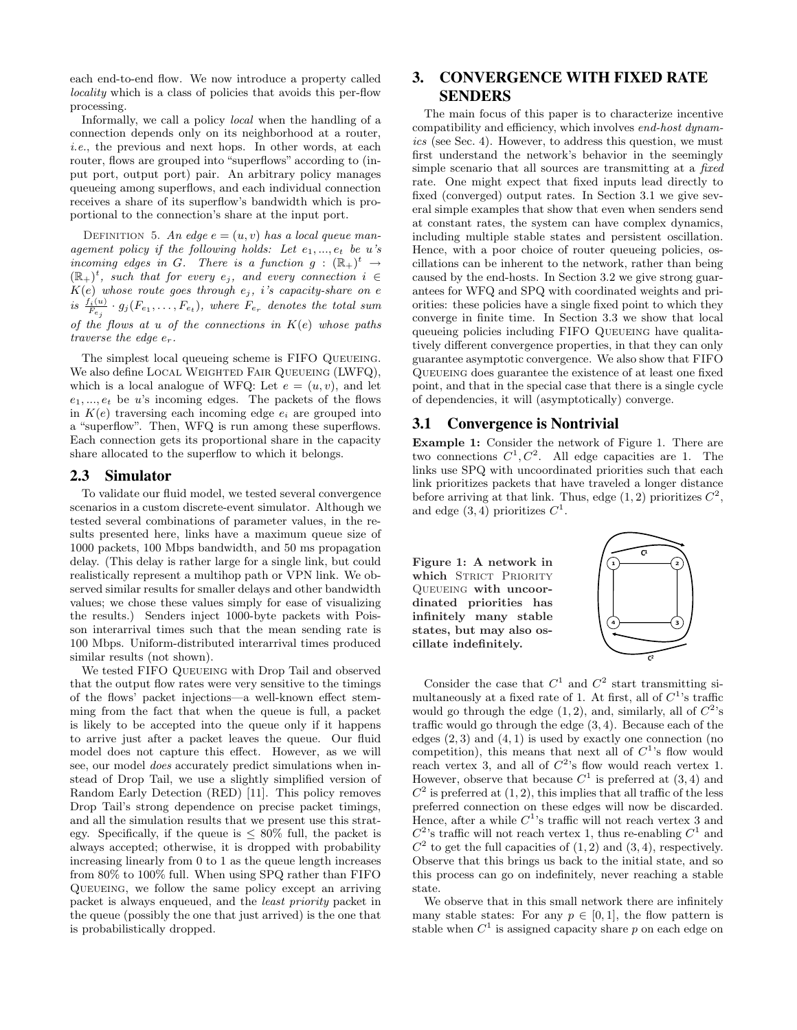each end-to-end flow. We now introduce a property called locality which is a class of policies that avoids this per-flow processing.

Informally, we call a policy local when the handling of a connection depends only on its neighborhood at a router, i.e., the previous and next hops. In other words, at each router, flows are grouped into "superflows" according to (input port, output port) pair. An arbitrary policy manages queueing among superflows, and each individual connection receives a share of its superflow's bandwidth which is proportional to the connection's share at the input port.

DEFINITION 5. An edge  $e = (u, v)$  has a local queue management policy if the following holds: Let  $e_1, ..., e_t$  be u's incoming edges in G. There is a function  $g : (\mathbb{R}_{+})^t \to$  $(\mathbb{R}_+)^t$ , such that for every  $e_j$ , and every connection  $i \in$  $K(e)$  whose route goes through  $e_j$ , i's capacity-share on  $e$ is  $\frac{f_i(u)}{F_{e_j}} \cdot g_j(F_{e_1}, \ldots, F_{e_t}),$  where  $F_{e_r}$  denotes the total sum of the flows at u of the connections in  $K(e)$  whose paths traverse the edge  $e_r$ .

The simplest local queueing scheme is FIFO Queueing. We also define LOCAL WEIGHTED FAIR QUEUEING (LWFQ), which is a local analogue of WFQ: Let  $e = (u, v)$ , and let  $e_1, \ldots, e_t$  be u's incoming edges. The packets of the flows in  $K(e)$  traversing each incoming edge  $e_i$  are grouped into a "superflow". Then, WFQ is run among these superflows. Each connection gets its proportional share in the capacity share allocated to the superflow to which it belongs.

#### 2.3 Simulator

To validate our fluid model, we tested several convergence scenarios in a custom discrete-event simulator. Although we tested several combinations of parameter values, in the results presented here, links have a maximum queue size of 1000 packets, 100 Mbps bandwidth, and 50 ms propagation delay. (This delay is rather large for a single link, but could realistically represent a multihop path or VPN link. We observed similar results for smaller delays and other bandwidth values; we chose these values simply for ease of visualizing the results.) Senders inject 1000-byte packets with Poisson interarrival times such that the mean sending rate is 100 Mbps. Uniform-distributed interarrival times produced similar results (not shown).

We tested FIFO QUEUEING with Drop Tail and observed that the output flow rates were very sensitive to the timings of the flows' packet injections—a well-known effect stemming from the fact that when the queue is full, a packet is likely to be accepted into the queue only if it happens to arrive just after a packet leaves the queue. Our fluid model does not capture this effect. However, as we will see, our model *does* accurately predict simulations when instead of Drop Tail, we use a slightly simplified version of Random Early Detection (RED) [11]. This policy removes Drop Tail's strong dependence on precise packet timings, and all the simulation results that we present use this strategy. Specifically, if the queue is  $\leq 80\%$  full, the packet is always accepted; otherwise, it is dropped with probability increasing linearly from 0 to 1 as the queue length increases from 80% to 100% full. When using SPQ rather than FIFO Queueing, we follow the same policy except an arriving packet is always enqueued, and the least priority packet in the queue (possibly the one that just arrived) is the one that is probabilistically dropped.

# 3. CONVERGENCE WITH FIXED RATE SENDERS

The main focus of this paper is to characterize incentive compatibility and efficiency, which involves end-host dynamics (see Sec. 4). However, to address this question, we must first understand the network's behavior in the seemingly simple scenario that all sources are transmitting at a *fixed* rate. One might expect that fixed inputs lead directly to fixed (converged) output rates. In Section 3.1 we give several simple examples that show that even when senders send at constant rates, the system can have complex dynamics, including multiple stable states and persistent oscillation. Hence, with a poor choice of router queueing policies, oscillations can be inherent to the network, rather than being caused by the end-hosts. In Section 3.2 we give strong guarantees for WFQ and SPQ with coordinated weights and priorities: these policies have a single fixed point to which they converge in finite time. In Section 3.3 we show that local queueing policies including FIFO QUEUEING have qualitatively different convergence properties, in that they can only guarantee asymptotic convergence. We also show that FIFO Queueing does guarantee the existence of at least one fixed point, and that in the special case that there is a single cycle of dependencies, it will (asymptotically) converge.

#### 3.1 Convergence is Nontrivial

Example 1: Consider the network of Figure 1. There are two connections  $C^1, C^2$ . All edge capacities are 1. The links use SPQ with uncoordinated priorities such that each link prioritizes packets that have traveled a longer distance before arriving at that link. Thus, edge  $(1, 2)$  prioritizes  $C^2$ , and edge  $(3, 4)$  prioritizes  $C<sup>1</sup>$ .

Figure 1: A network in which STRICT PRIORITY Queueing with uncoordinated priorities has infinitely many stable states, but may also oscillate indefinitely.



Consider the case that  $C^1$  and  $C^2$  start transmitting simultaneously at a fixed rate of 1. At first, all of  $C^1$ 's traffic would go through the edge  $(1, 2)$ , and, similarly, all of  $C^2$ 's traffic would go through the edge (3, 4). Because each of the edges  $(2, 3)$  and  $(4, 1)$  is used by exactly one connection (no competition), this means that next all of  $C^1$ 's flow would reach vertex 3, and all of  $C^2$ 's flow would reach vertex 1. However, observe that because  $C^1$  is preferred at  $(3, 4)$  and  $C<sup>2</sup>$  is preferred at  $(1, 2)$ , this implies that all traffic of the less preferred connection on these edges will now be discarded. Hence, after a while  $C^1$ 's traffic will not reach vertex 3 and  $C^2$ 's traffic will not reach vertex 1, thus re-enabling  $C^1$  and  $C<sup>2</sup>$  to get the full capacities of  $(1, 2)$  and  $(3, 4)$ , respectively. Observe that this brings us back to the initial state, and so this process can go on indefinitely, never reaching a stable state.

We observe that in this small network there are infinitely many stable states: For any  $p \in [0,1]$ , the flow pattern is stable when  $C^1$  is assigned capacity share p on each edge on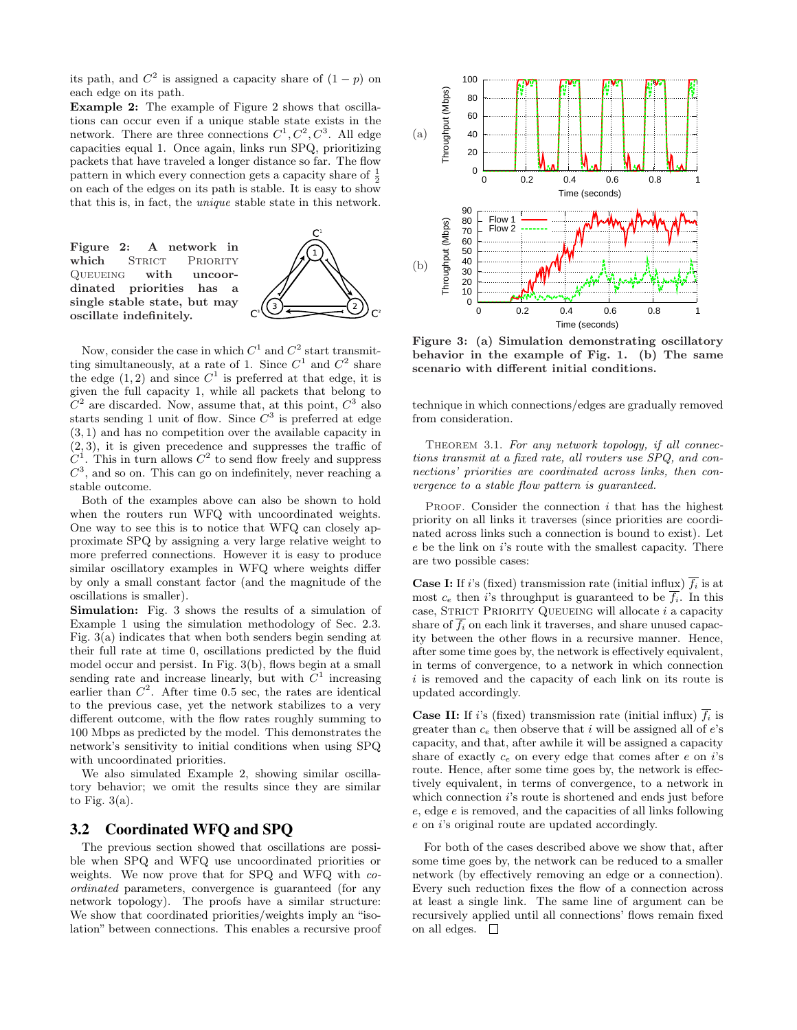its path, and  $C^2$  is assigned a capacity share of  $(1 - p)$  on each edge on its path.

Example 2: The example of Figure 2 shows that oscillations can occur even if a unique stable state exists in the network. There are three connections  $C^1, C^2, C^3$ . All edge capacities equal 1. Once again, links run SPQ, prioritizing packets that have traveled a longer distance so far. The flow pattern in which every connection gets a capacity share of  $\frac{1}{2}$ on each of the edges on its path is stable. It is easy to show that this is, in fact, the unique stable state in this network.

Figure 2: A network in which STRICT PRIORITY QUEUEING with uncoordinated priorities has a single stable state, but may oscillate indefinitely.



Now, consider the case in which  $C^1$  and  $C^2$  start transmitting simultaneously, at a rate of 1. Since  $C^1$  and  $C^2$  share the edge  $(1, 2)$  and since  $C<sup>1</sup>$  is preferred at that edge, it is given the full capacity 1, while all packets that belong to  $\overline{C}^2$  are discarded. Now, assume that, at this point,  $C^3$  also starts sending 1 unit of flow. Since  $C^3$  is preferred at edge (3, 1) and has no competition over the available capacity in (2, 3), it is given precedence and suppresses the traffic of  $C^1$ . This in turn allows  $C^2$  to send flow freely and suppress  $C<sup>3</sup>$ , and so on. This can go on indefinitely, never reaching a stable outcome.

Both of the examples above can also be shown to hold when the routers run WFQ with uncoordinated weights. One way to see this is to notice that WFQ can closely approximate SPQ by assigning a very large relative weight to more preferred connections. However it is easy to produce similar oscillatory examples in WFQ where weights differ by only a small constant factor (and the magnitude of the oscillations is smaller).

Simulation: Fig. 3 shows the results of a simulation of Example 1 using the simulation methodology of Sec. 2.3. Fig. 3(a) indicates that when both senders begin sending at their full rate at time 0, oscillations predicted by the fluid model occur and persist. In Fig. 3(b), flows begin at a small sending rate and increase linearly, but with  $C<sup>1</sup>$  increasing earlier than  $C^2$ . After time 0.5 sec, the rates are identical to the previous case, yet the network stabilizes to a very different outcome, with the flow rates roughly summing to 100 Mbps as predicted by the model. This demonstrates the network's sensitivity to initial conditions when using SPQ with uncoordinated priorities.

We also simulated Example 2, showing similar oscillatory behavior; we omit the results since they are similar to Fig.  $3(a)$ .

# 3.2 Coordinated WFQ and SPQ

The previous section showed that oscillations are possible when SPQ and WFQ use uncoordinated priorities or weights. We now prove that for SPQ and WFQ with coordinated parameters, convergence is guaranteed (for any network topology). The proofs have a similar structure: We show that coordinated priorities/weights imply an "isolation" between connections. This enables a recursive proof



Figure 3: (a) Simulation demonstrating oscillatory behavior in the example of Fig. 1. (b) The same scenario with different initial conditions.

technique in which connections/edges are gradually removed from consideration.

THEOREM 3.1. For any network topology, if all connections transmit at a fixed rate, all routers use SPQ, and connections' priorities are coordinated across links, then convergence to a stable flow pattern is guaranteed.

PROOF. Consider the connection  $i$  that has the highest priority on all links it traverses (since priorities are coordinated across links such a connection is bound to exist). Let  $e$  be the link on  $i$ 's route with the smallest capacity. There are two possible cases:

**Case I:** If i's (fixed) transmission rate (initial influx)  $\overline{f_i}$  is at most  $c_e$  then i's throughput is guaranteed to be  $\overline{f_i}$ . In this case, STRICT PRIORITY QUEUEING will allocate  $i$  a capacity share of  $\overline{f_i}$  on each link it traverses, and share unused capacity between the other flows in a recursive manner. Hence, after some time goes by, the network is effectively equivalent, in terms of convergence, to a network in which connection i is removed and the capacity of each link on its route is updated accordingly.

**Case II:** If i's (fixed) transmission rate (initial influx)  $\overline{f_i}$  is greater than  $c_e$  then observe that i will be assigned all of  $e$ 's capacity, and that, after awhile it will be assigned a capacity share of exactly  $c_e$  on every edge that comes after  $e$  on  $i$ 's route. Hence, after some time goes by, the network is effectively equivalent, in terms of convergence, to a network in which connection  $i$ 's route is shortened and ends just before e, edge e is removed, and the capacities of all links following e on i's original route are updated accordingly.

For both of the cases described above we show that, after some time goes by, the network can be reduced to a smaller network (by effectively removing an edge or a connection). Every such reduction fixes the flow of a connection across at least a single link. The same line of argument can be recursively applied until all connections' flows remain fixed on all edges.  $\square$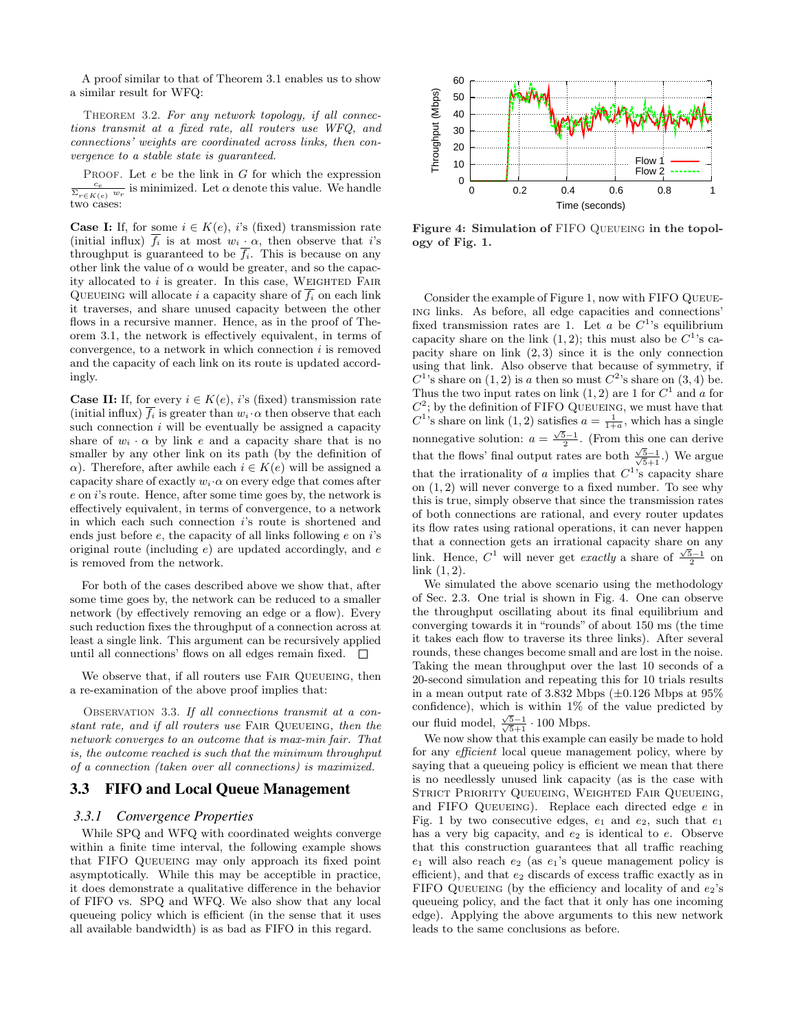A proof similar to that of Theorem 3.1 enables us to show a similar result for WFQ:

THEOREM 3.2. For any network topology, if all connections transmit at a fixed rate, all routers use WFQ, and connections' weights are coordinated across links, then convergence to a stable state is guaranteed.

PROOF. Let  $e$  be the link in  $G$  for which the expression  $\frac{c_e}{\sum_{r \in K(e)} w_r}$  is minimized. Let  $\alpha$  denote this value. We handle two cases:

**Case I:** If, for some  $i \in K(e)$ , i's (fixed) transmission rate (initial influx)  $f_i$  is at most  $w_i \cdot \alpha$ , then observe that i's throughput is guaranteed to be  $\overline{f_i}$ . This is because on any other link the value of  $\alpha$  would be greater, and so the capacity allocated to  $i$  is greater. In this case, WEIGHTED FAIR QUEUEING will allocate i a capacity share of  $\overline{f_i}$  on each link it traverses, and share unused capacity between the other flows in a recursive manner. Hence, as in the proof of Theorem 3.1, the network is effectively equivalent, in terms of convergence, to a network in which connection  $i$  is removed and the capacity of each link on its route is updated accordingly.

**Case II:** If, for every  $i \in K(e)$ , i's (fixed) transmission rate (initial influx)  $\overline{f_i}$  is greater than  $w_i \alpha$  then observe that each such connection  $i$  will be eventually be assigned a capacity share of  $w_i \cdot \alpha$  by link e and a capacity share that is no smaller by any other link on its path (by the definition of  $\alpha$ ). Therefore, after awhile each  $i \in K(e)$  will be assigned a capacity share of exactly  $w_i \cdot \alpha$  on every edge that comes after e on i's route. Hence, after some time goes by, the network is effectively equivalent, in terms of convergence, to a network in which each such connection i's route is shortened and ends just before  $e$ , the capacity of all links following  $e$  on  $i$ 's original route (including  $e$ ) are updated accordingly, and  $e$ is removed from the network.

For both of the cases described above we show that, after some time goes by, the network can be reduced to a smaller network (by effectively removing an edge or a flow). Every such reduction fixes the throughput of a connection across at least a single link. This argument can be recursively applied until all connections' flows on all edges remain fixed.  $\square$ 

We observe that, if all routers use FAIR QUEUEING, then a re-examination of the above proof implies that:

OBSERVATION 3.3. If all connections transmit at a constant rate, and if all routers use FAIR QUEUEING, then the network converges to an outcome that is max-min fair. That is, the outcome reached is such that the minimum throughput of a connection (taken over all connections) is maximized.

## 3.3 FIFO and Local Queue Management

#### *3.3.1 Convergence Properties*

While SPQ and WFQ with coordinated weights converge within a finite time interval, the following example shows that FIFO Queueing may only approach its fixed point asymptotically. While this may be acceptible in practice, it does demonstrate a qualitative difference in the behavior of FIFO vs. SPQ and WFQ. We also show that any local queueing policy which is efficient (in the sense that it uses all available bandwidth) is as bad as FIFO in this regard.



Figure 4: Simulation of FIFO QUEUEING in the topology of Fig. 1.

Consider the example of Figure 1, now with FIFO Queueing links. As before, all edge capacities and connections' fixed transmission rates are 1. Let a be  $C^1$ 's equilibrium capacity share on the link  $(1, 2)$ ; this must also be  $C^1$ 's capacity share on link  $(2, 3)$  since it is the only connection using that link. Also observe that because of symmetry, if  $C^1$ 's share on  $(1, 2)$  is a then so must  $C^2$ 's share on  $(3, 4)$  be. Thus the two input rates on link  $(1, 2)$  are 1 for  $C<sup>1</sup>$  and a for  $C^2$ ; by the definition of FIFO QUEUEING, we must have that  $C^{1}$ 's share on link (1, 2) satisfies  $a = \frac{1}{1+a}$ , which has a single nonnegative solution:  $a = \frac{\sqrt{5}-1}{2}$ . (From this one can derive that the flows' final output rates are both  $\frac{\sqrt{5}-1}{\sqrt{5}+1}$ .) We argue that the irrationality of a implies that  $C^1$ 's capacity share on (1, 2) will never converge to a fixed number. To see why this is true, simply observe that since the transmission rates of both connections are rational, and every router updates its flow rates using rational operations, it can never happen that a connection gets an irrational capacity share on any link. Hence,  $C^1$  will never get *exactly* a share of  $\frac{\sqrt{5}-1}{2}$  on link (1, 2).

We simulated the above scenario using the methodology of Sec. 2.3. One trial is shown in Fig. 4. One can observe the throughput oscillating about its final equilibrium and converging towards it in "rounds" of about 150 ms (the time it takes each flow to traverse its three links). After several rounds, these changes become small and are lost in the noise. Taking the mean throughput over the last 10 seconds of a 20-second simulation and repeating this for 10 trials results in a mean output rate of 3.832 Mbps  $(\pm 0.126$  Mbps at 95% confidence), which is within 1% of the value predicted by our fluid model,  $\frac{\sqrt{5}-1}{\sqrt{5}+1} \cdot 100$  Mbps.

We now show that this example can easily be made to hold for any efficient local queue management policy, where by saying that a queueing policy is efficient we mean that there is no needlessly unused link capacity (as is the case with STRICT PRIORITY QUEUEING, WEIGHTED FAIR QUEUEING, and FIFO QUEUEING). Replace each directed edge  $e$  in Fig. 1 by two consecutive edges,  $e_1$  and  $e_2$ , such that  $e_1$ has a very big capacity, and  $e_2$  is identical to  $e$ . Observe that this construction guarantees that all traffic reaching  $e_1$  will also reach  $e_2$  (as  $e_1$ 's queue management policy is efficient), and that  $e_2$  discards of excess traffic exactly as in FIFO QUEUEING (by the efficiency and locality of and  $e_2$ 's queueing policy, and the fact that it only has one incoming edge). Applying the above arguments to this new network leads to the same conclusions as before.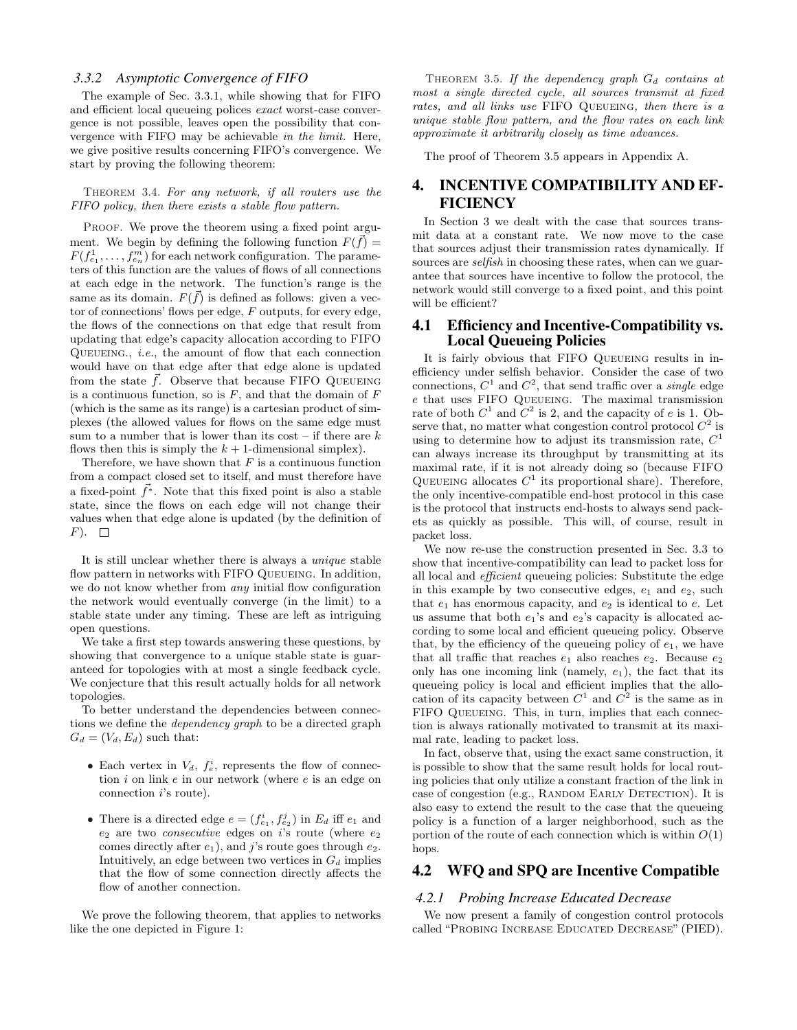#### *3.3.2 Asymptotic Convergence of FIFO*

The example of Sec. 3.3.1, while showing that for FIFO and efficient local queueing polices exact worst-case convergence is not possible, leaves open the possibility that convergence with FIFO may be achievable in the limit. Here, we give positive results concerning FIFO's convergence. We start by proving the following theorem:

THEOREM 3.4. For any network, if all routers use the FIFO policy, then there exists a stable flow pattern.

PROOF. We prove the theorem using a fixed point argument. We begin by defining the following function  $F(\vec{f}) =$  $F(f_{e_1}^1, \ldots, f_{e_n}^m)$  for each network configuration. The parameters of this function are the values of flows of all connections at each edge in the network. The function's range is the same as its domain.  $F(\vec{f})$  is defined as follows: given a vector of connections' flows per edge, F outputs, for every edge, the flows of the connections on that edge that result from updating that edge's capacity allocation according to FIFO QUEUEING., *i.e.*, the amount of flow that each connection would have on that edge after that edge alone is updated from the state  $\vec{f}$ . Observe that because FIFO QUEUEING is a continuous function, so is  $F$ , and that the domain of  $F$ (which is the same as its range) is a cartesian product of simplexes (the allowed values for flows on the same edge must sum to a number that is lower than its cost – if there are  $k$ flows then this is simply the  $k + 1$ -dimensional simplex).

Therefore, we have shown that  $F$  is a continuous function from a compact closed set to itself, and must therefore have a fixed-point  $\vec{f}$ <sup>\*</sup>. Note that this fixed point is also a stable state, since the flows on each edge will not change their values when that edge alone is updated (by the definition of  $F$ ).  $\Box$ 

It is still unclear whether there is always a unique stable flow pattern in networks with FIFO QUEUEING. In addition, we do not know whether from *any* initial flow configuration the network would eventually converge (in the limit) to a stable state under any timing. These are left as intriguing open questions.

We take a first step towards answering these questions, by showing that convergence to a unique stable state is guaranteed for topologies with at most a single feedback cycle. We conjecture that this result actually holds for all network topologies.

To better understand the dependencies between connections we define the dependency graph to be a directed graph  $G_d = (V_d, E_d)$  such that:

- Each vertex in  $V_d$ ,  $f_e^i$ , represents the flow of connection  $i$  on link  $e$  in our network (where  $e$  is an edge on connection i's route).
- There is a directed edge  $e = (f_{e_1}^i, f_{e_2}^j)$  in  $E_d$  iff  $e_1$  and  $e_2$  are two *consecutive* edges on i's route (where  $e_2$ ) comes directly after  $e_1$ ), and j's route goes through  $e_2$ . Intuitively, an edge between two vertices in  $G_d$  implies that the flow of some connection directly affects the flow of another connection.

We prove the following theorem, that applies to networks like the one depicted in Figure 1:

THEOREM 3.5. If the dependency graph  $G_d$  contains at most a single directed cycle, all sources transmit at fixed rates, and all links use FIFO QUEUEING, then there is a unique stable flow pattern, and the flow rates on each link approximate it arbitrarily closely as time advances.

The proof of Theorem 3.5 appears in Appendix A.

# 4. INCENTIVE COMPATIBILITY AND EF-**FICIENCY**

In Section 3 we dealt with the case that sources transmit data at a constant rate. We now move to the case that sources adjust their transmission rates dynamically. If sources are *selfish* in choosing these rates, when can we guarantee that sources have incentive to follow the protocol, the network would still converge to a fixed point, and this point will be efficient?

### 4.1 Efficiency and Incentive-Compatibility vs. Local Queueing Policies

It is fairly obvious that FIFO QUEUEING results in inefficiency under selfish behavior. Consider the case of two connections,  $C^1$  and  $C^2$ , that send traffic over a *single* edge  $e$  that uses FIFO QUEUEING. The maximal transmission rate of both  $C^1$  and  $C^2$  is 2, and the capacity of e is 1. Observe that, no matter what congestion control protocol  $C^2$  is using to determine how to adjust its transmission rate,  $C<sup>1</sup>$ can always increase its throughput by transmitting at its maximal rate, if it is not already doing so (because FIFO QUEUEING allocates  $C^1$  its proportional share). Therefore, the only incentive-compatible end-host protocol in this case is the protocol that instructs end-hosts to always send packets as quickly as possible. This will, of course, result in packet loss.

We now re-use the construction presented in Sec. 3.3 to show that incentive-compatibility can lead to packet loss for all local and efficient queueing policies: Substitute the edge in this example by two consecutive edges,  $e_1$  and  $e_2$ , such that  $e_1$  has enormous capacity, and  $e_2$  is identical to  $e$ . Let us assume that both  $e_1$ 's and  $e_2$ 's capacity is allocated according to some local and efficient queueing policy. Observe that, by the efficiency of the queueing policy of  $e_1$ , we have that all traffic that reaches  $e_1$  also reaches  $e_2$ . Because  $e_2$ only has one incoming link (namely,  $e_1$ ), the fact that its queueing policy is local and efficient implies that the allocation of its capacity between  $C^1$  and  $C^2$  is the same as in FIFO QUEUEING. This, in turn, implies that each connection is always rationally motivated to transmit at its maximal rate, leading to packet loss.

In fact, observe that, using the exact same construction, it is possible to show that the same result holds for local routing policies that only utilize a constant fraction of the link in case of congestion (e.g., RANDOM EARLY DETECTION). It is also easy to extend the result to the case that the queueing policy is a function of a larger neighborhood, such as the portion of the route of each connection which is within  $O(1)$ hops.

## 4.2 WFQ and SPQ are Incentive Compatible

#### *4.2.1 Probing Increase Educated Decrease*

We now present a family of congestion control protocols called "Probing Increase Educated Decrease" (PIED).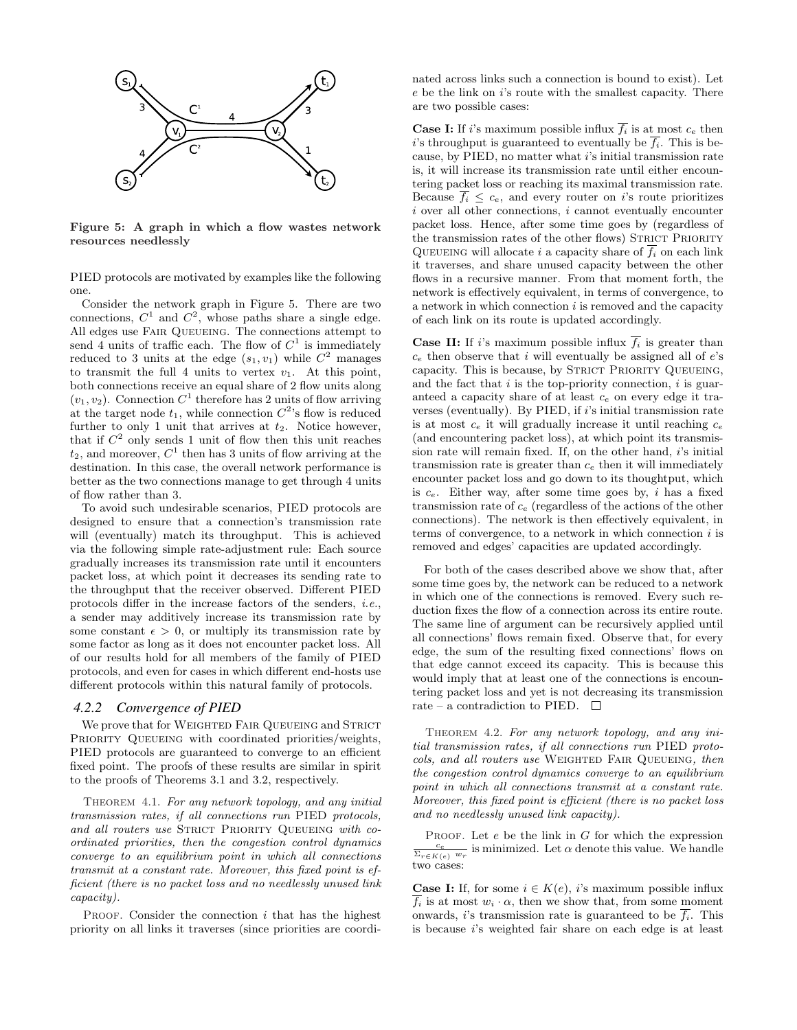

Figure 5: A graph in which a flow wastes network resources needlessly

PIED protocols are motivated by examples like the following one.

Consider the network graph in Figure 5. There are two connections,  $C^1$  and  $C^2$ , whose paths share a single edge. All edges use FAIR QUEUEING. The connections attempt to send 4 units of traffic each. The flow of  $C<sup>1</sup>$  is immediately reduced to 3 units at the edge  $(s_1, v_1)$  while  $C^2$  manages to transmit the full 4 units to vertex  $v_1$ . At this point, both connections receive an equal share of 2 flow units along  $(v_1, v_2)$ . Connection  $C^1$  therefore has 2 units of flow arriving at the target node  $t_1$ , while connection  $C^2$ 's flow is reduced further to only 1 unit that arrives at  $t_2$ . Notice however, that if  $C^2$  only sends 1 unit of flow then this unit reaches  $t_2$ , and moreover,  $C<sup>1</sup>$  then has 3 units of flow arriving at the destination. In this case, the overall network performance is better as the two connections manage to get through 4 units of flow rather than 3.

To avoid such undesirable scenarios, PIED protocols are designed to ensure that a connection's transmission rate will (eventually) match its throughput. This is achieved via the following simple rate-adjustment rule: Each source gradually increases its transmission rate until it encounters packet loss, at which point it decreases its sending rate to the throughput that the receiver observed. Different PIED protocols differ in the increase factors of the senders, *i.e.*, a sender may additively increase its transmission rate by some constant  $\epsilon > 0$ , or multiply its transmission rate by some factor as long as it does not encounter packet loss. All of our results hold for all members of the family of PIED protocols, and even for cases in which different end-hosts use different protocols within this natural family of protocols.

#### *4.2.2 Convergence of PIED*

We prove that for WEIGHTED FAIR QUEUEING and STRICT PRIORITY QUEUEING with coordinated priorities/weights, PIED protocols are guaranteed to converge to an efficient fixed point. The proofs of these results are similar in spirit to the proofs of Theorems 3.1 and 3.2, respectively.

Theorem 4.1. For any network topology, and any initial transmission rates, if all connections run PIED protocols, and all routers use STRICT PRIORITY QUEUEING with coordinated priorities, then the congestion control dynamics converge to an equilibrium point in which all connections transmit at a constant rate. Moreover, this fixed point is efficient (there is no packet loss and no needlessly unused link capacity).

PROOF. Consider the connection  $i$  that has the highest priority on all links it traverses (since priorities are coordinated across links such a connection is bound to exist). Let  $e$  be the link on  $i$ 's route with the smallest capacity. There are two possible cases:

**Case I:** If i's maximum possible influx  $\overline{f_i}$  is at most  $c_e$  then i's throughput is guaranteed to eventually be  $\overline{f_i}$ . This is because, by PIED, no matter what i's initial transmission rate is, it will increase its transmission rate until either encountering packet loss or reaching its maximal transmission rate. Because  $\overline{f_i} \leq c_e$ , and every router on *i*'s route prioritizes  $i$  over all other connections,  $i$  cannot eventually encounter packet loss. Hence, after some time goes by (regardless of the transmission rates of the other flows) STRICT PRIORITY QUEUEING will allocate i a capacity share of  $\overline{f_i}$  on each link it traverses, and share unused capacity between the other flows in a recursive manner. From that moment forth, the network is effectively equivalent, in terms of convergence, to a network in which connection  $i$  is removed and the capacity of each link on its route is updated accordingly.

**Case II:** If i's maximum possible influx  $\overline{f_i}$  is greater than  $c_e$  then observe that i will eventually be assigned all of  $e$ 's capacity. This is because, by STRICT PRIORITY QUEUEING, and the fact that  $i$  is the top-priority connection,  $i$  is guaranteed a capacity share of at least  $c_e$  on every edge it traverses (eventually). By PIED, if  $i$ 's initial transmission rate is at most  $c_e$  it will gradually increase it until reaching  $c_e$ (and encountering packet loss), at which point its transmission rate will remain fixed. If, on the other hand, i's initial transmission rate is greater than  $c<sub>e</sub>$  then it will immediately encounter packet loss and go down to its thoughtput, which is  $c_e$ . Either way, after some time goes by, i has a fixed transmission rate of  $c_e$  (regardless of the actions of the other connections). The network is then effectively equivalent, in terms of convergence, to a network in which connection  $i$  is removed and edges' capacities are updated accordingly.

For both of the cases described above we show that, after some time goes by, the network can be reduced to a network in which one of the connections is removed. Every such reduction fixes the flow of a connection across its entire route. The same line of argument can be recursively applied until all connections' flows remain fixed. Observe that, for every edge, the sum of the resulting fixed connections' flows on that edge cannot exceed its capacity. This is because this would imply that at least one of the connections is encountering packet loss and yet is not decreasing its transmission rate – a contradiction to PIED.  $\Box$ 

THEOREM 4.2. For any network topology, and any initial transmission rates, if all connections run PIED protocols, and all routers use WEIGHTED FAIR QUEUEING, then the congestion control dynamics converge to an equilibrium point in which all connections transmit at a constant rate. Moreover, this fixed point is efficient (there is no packet loss and no needlessly unused link capacity).

PROOF. Let  $e$  be the link in  $G$  for which the expression  $\frac{c_e}{\sum_{r \in K(e)} w_r}$  is minimized. Let  $\alpha$  denote this value. We handle two cases:

**Case I:** If, for some  $i \in K(e)$ , i's maximum possible influx  $f_i$  is at most  $w_i \cdot \alpha$ , then we show that, from some moment onwards, i's transmission rate is guaranteed to be  $\overline{f_i}$ . This is because i's weighted fair share on each edge is at least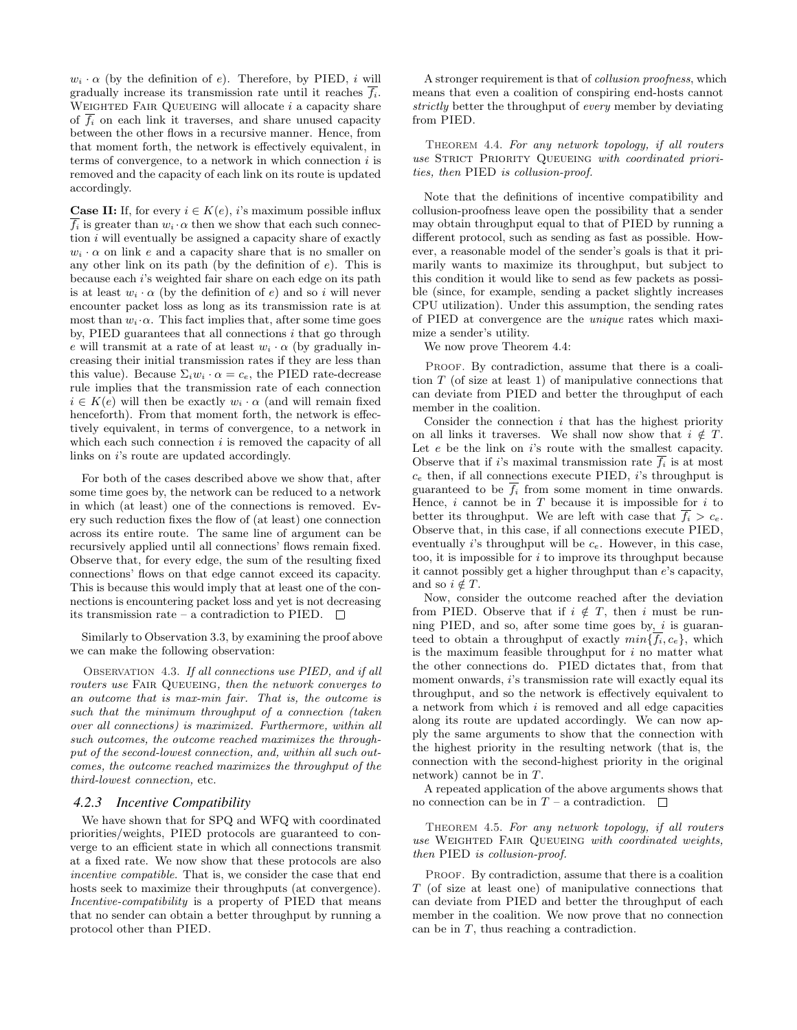$w_i \cdot \alpha$  (by the definition of e). Therefore, by PIED, i will gradually increase its transmission rate until it reaches  $\overline{f_i}$ . WEIGHTED FAIR QUEUEING will allocate  $i$  a capacity share of  $\overline{f_i}$  on each link it traverses, and share unused capacity between the other flows in a recursive manner. Hence, from that moment forth, the network is effectively equivalent, in terms of convergence, to a network in which connection  $i$  is removed and the capacity of each link on its route is updated accordingly.

**Case II:** If, for every  $i \in K(e)$ , i's maximum possible influx  $\overline{f_i}$  is greater than  $w_i \cdot \alpha$  then we show that each such connection  $i$  will eventually be assigned a capacity share of exactly  $w_i \cdot \alpha$  on link e and a capacity share that is no smaller on any other link on its path (by the definition of  $e$ ). This is because each i's weighted fair share on each edge on its path is at least  $w_i \cdot \alpha$  (by the definition of e) and so i will never encounter packet loss as long as its transmission rate is at most than  $w_i \cdot \alpha$ . This fact implies that, after some time goes by, PIED guarantees that all connections  $i$  that go through e will transmit at a rate of at least  $w_i \cdot \alpha$  (by gradually increasing their initial transmission rates if they are less than this value). Because  $\Sigma_i w_i \cdot \alpha = c_e$ , the PIED rate-decrease rule implies that the transmission rate of each connection  $i \in K(e)$  will then be exactly  $w_i \cdot \alpha$  (and will remain fixed henceforth). From that moment forth, the network is effectively equivalent, in terms of convergence, to a network in which each such connection  $i$  is removed the capacity of all links on i's route are updated accordingly.

For both of the cases described above we show that, after some time goes by, the network can be reduced to a network in which (at least) one of the connections is removed. Every such reduction fixes the flow of (at least) one connection across its entire route. The same line of argument can be recursively applied until all connections' flows remain fixed. Observe that, for every edge, the sum of the resulting fixed connections' flows on that edge cannot exceed its capacity. This is because this would imply that at least one of the connections is encountering packet loss and yet is not decreasing its transmission rate – a contradiction to PIED.  $\Box$ 

Similarly to Observation 3.3, by examining the proof above we can make the following observation:

OBSERVATION 4.3. If all connections use PIED, and if all routers use FAIR QUEUEING, then the network converges to an outcome that is max-min fair. That is, the outcome is such that the minimum throughput of a connection (taken over all connections) is maximized. Furthermore, within all such outcomes, the outcome reached maximizes the throughput of the second-lowest connection, and, within all such outcomes, the outcome reached maximizes the throughput of the third-lowest connection, etc.

#### *4.2.3 Incentive Compatibility*

We have shown that for SPQ and WFQ with coordinated priorities/weights, PIED protocols are guaranteed to converge to an efficient state in which all connections transmit at a fixed rate. We now show that these protocols are also incentive compatible. That is, we consider the case that end hosts seek to maximize their throughputs (at convergence). Incentive-compatibility is a property of PIED that means that no sender can obtain a better throughput by running a protocol other than PIED.

A stronger requirement is that of collusion proofness, which means that even a coalition of conspiring end-hosts cannot strictly better the throughput of every member by deviating from PIED.

THEOREM 4.4. For any network topology, if all routers use STRICT PRIORITY QUEUEING with coordinated priorities, then PIED is collusion-proof.

Note that the definitions of incentive compatibility and collusion-proofness leave open the possibility that a sender may obtain throughput equal to that of PIED by running a different protocol, such as sending as fast as possible. However, a reasonable model of the sender's goals is that it primarily wants to maximize its throughput, but subject to this condition it would like to send as few packets as possible (since, for example, sending a packet slightly increases CPU utilization). Under this assumption, the sending rates of PIED at convergence are the unique rates which maximize a sender's utility.

We now prove Theorem 4.4:

PROOF. By contradiction, assume that there is a coalition  $T$  (of size at least 1) of manipulative connections that can deviate from PIED and better the throughput of each member in the coalition.

Consider the connection  $i$  that has the highest priority on all links it traverses. We shall now show that  $i \notin T$ . Let e be the link on i's route with the smallest capacity. Observe that if i's maximal transmission rate  $f_i$  is at most  $c_e$  then, if all connections execute PIED, i's throughput is guaranteed to be  $f_i$  from some moment in time onwards. Hence,  $i$  cannot be in  $T$  because it is impossible for  $i$  to better its throughput. We are left with case that  $f_i > c_e$ . Observe that, in this case, if all connections execute PIED, eventually  $i$ 's throughput will be  $c_e$ . However, in this case, too, it is impossible for  $i$  to improve its throughput because it cannot possibly get a higher throughput than e's capacity, and so  $i \notin T$ .

Now, consider the outcome reached after the deviation from PIED. Observe that if  $i \notin T$ , then i must be running PIED, and so, after some time goes by,  $i$  is guaranteed to obtain a throughput of exactly  $min\{\overline{f_i}, c_e\}$ , which is the maximum feasible throughput for  $i$  no matter what the other connections do. PIED dictates that, from that moment onwards, i's transmission rate will exactly equal its throughput, and so the network is effectively equivalent to a network from which  $i$  is removed and all edge capacities along its route are updated accordingly. We can now apply the same arguments to show that the connection with the highest priority in the resulting network (that is, the connection with the second-highest priority in the original network) cannot be in T.

A repeated application of the above arguments shows that no connection can be in  $T$  – a contradiction.  $\Box$ 

THEOREM 4.5. For any network topology, if all routers use WEIGHTED FAIR QUEUEING with coordinated weights, then PIED is collusion-proof.

PROOF. By contradiction, assume that there is a coalition T (of size at least one) of manipulative connections that can deviate from PIED and better the throughput of each member in the coalition. We now prove that no connection can be in T, thus reaching a contradiction.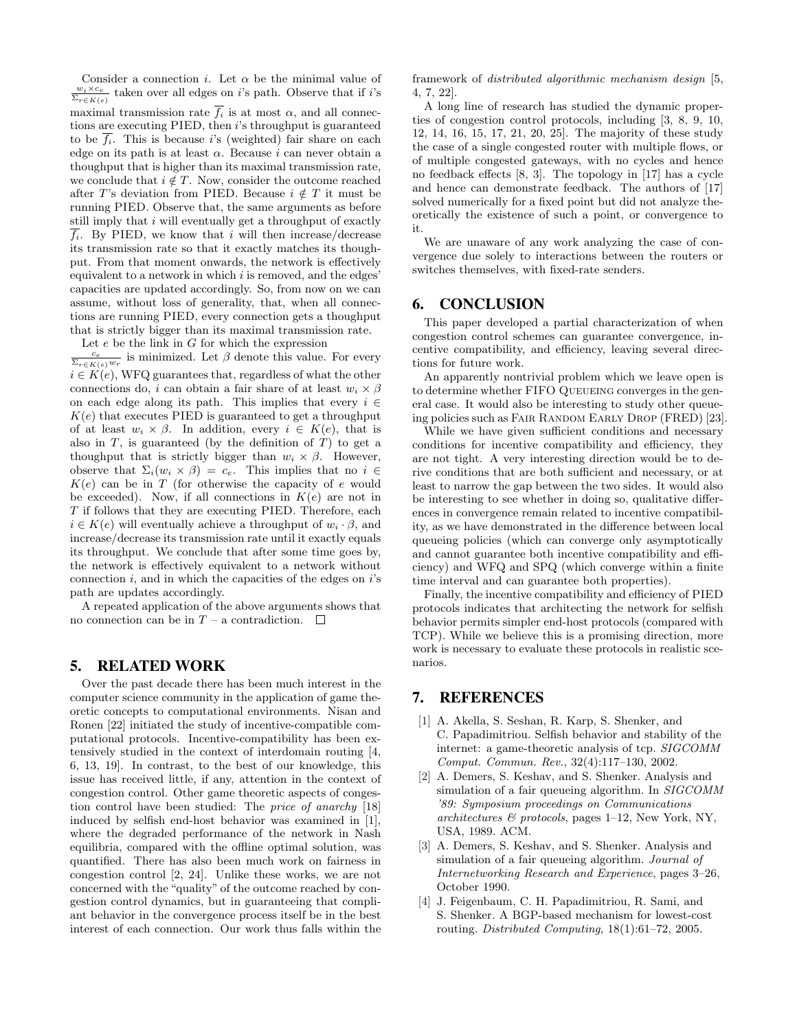Consider a connection i. Let  $\alpha$  be the minimal value of  $\frac{w_i \times c_e}{\Sigma_{r \in K(e)}}$  taken over all edges on *i*'s path. Observe that if *i*'s maximal transmission rate  $\overline{f_i}$  is at most  $\alpha$ , and all connections are executing PIED, then i's throughput is guaranteed to be  $\overline{f_i}$ . This is because i's (weighted) fair share on each edge on its path is at least  $\alpha$ . Because i can never obtain a thoughput that is higher than its maximal transmission rate, we conclude that  $i \notin T$ . Now, consider the outcome reached after T's deviation from PIED. Because  $i \notin T$  it must be running PIED. Observe that, the same arguments as before still imply that  $i$  will eventually get a throughput of exactly  $\overline{f_i}$ . By PIED, we know that i will then increase/decrease its transmission rate so that it exactly matches its thoughput. From that moment onwards, the network is effectively equivalent to a network in which  $i$  is removed, and the edges' capacities are updated accordingly. So, from now on we can assume, without loss of generality, that, when all connections are running PIED, every connection gets a thoughput that is strictly bigger than its maximal transmission rate.

Let  $e$  be the link in  $G$  for which the expression  $\frac{c_e}{\sum_{r \in K(e)} w_r}$  is minimized. Let  $\beta$  denote this value. For every  $i \in K(e)$ , WFQ guarantees that, regardless of what the other connections do, i can obtain a fair share of at least  $w_i \times \beta$ on each edge along its path. This implies that every  $i \in$  $K(e)$  that executes PIED is guaranteed to get a throughput of at least  $w_i \times \beta$ . In addition, every  $i \in K(e)$ , that is also in  $T$ , is guaranteed (by the definition of  $T$ ) to get a thoughput that is strictly bigger than  $w_i \times \beta$ . However, observe that  $\Sigma_i(w_i \times \beta) = c_e$ . This implies that no  $i \in$  $K(e)$  can be in T (for otherwise the capacity of e would be exceeded). Now, if all connections in  $K(e)$  are not in T if follows that they are executing PIED. Therefore, each  $i \in K(e)$  will eventually achieve a throughput of  $w_i \cdot \beta$ , and increase/decrease its transmission rate until it exactly equals its throughput. We conclude that after some time goes by, the network is effectively equivalent to a network without connection  $i$ , and in which the capacities of the edges on  $i$ 's path are updates accordingly.

A repeated application of the above arguments shows that no connection can be in  $T$  – a contradiction.  $\Box$ 

## 5. RELATED WORK

Over the past decade there has been much interest in the computer science community in the application of game theoretic concepts to computational environments. Nisan and Ronen [22] initiated the study of incentive-compatible computational protocols. Incentive-compatibility has been extensively studied in the context of interdomain routing [4, 6, 13, 19]. In contrast, to the best of our knowledge, this issue has received little, if any, attention in the context of congestion control. Other game theoretic aspects of congestion control have been studied: The price of anarchy [18] induced by selfish end-host behavior was examined in [1], where the degraded performance of the network in Nash equilibria, compared with the offline optimal solution, was quantified. There has also been much work on fairness in congestion control [2, 24]. Unlike these works, we are not concerned with the "quality" of the outcome reached by congestion control dynamics, but in guaranteeing that compliant behavior in the convergence process itself be in the best interest of each connection. Our work thus falls within the framework of distributed algorithmic mechanism design [5, 4, 7, 22].

A long line of research has studied the dynamic properties of congestion control protocols, including [3, 8, 9, 10, 12, 14, 16, 15, 17, 21, 20, 25]. The majority of these study the case of a single congested router with multiple flows, or of multiple congested gateways, with no cycles and hence no feedback effects [8, 3]. The topology in [17] has a cycle and hence can demonstrate feedback. The authors of [17] solved numerically for a fixed point but did not analyze theoretically the existence of such a point, or convergence to it.

We are unaware of any work analyzing the case of convergence due solely to interactions between the routers or switches themselves, with fixed-rate senders.

## 6. CONCLUSION

This paper developed a partial characterization of when congestion control schemes can guarantee convergence, incentive compatibility, and efficiency, leaving several directions for future work.

An apparently nontrivial problem which we leave open is to determine whether FIFO QUEUEING converges in the general case. It would also be interesting to study other queueing policies such as Fair Random Early Drop (FRED) [23].

While we have given sufficient conditions and necessary conditions for incentive compatibility and efficiency, they are not tight. A very interesting direction would be to derive conditions that are both sufficient and necessary, or at least to narrow the gap between the two sides. It would also be interesting to see whether in doing so, qualitative differences in convergence remain related to incentive compatibility, as we have demonstrated in the difference between local queueing policies (which can converge only asymptotically and cannot guarantee both incentive compatibility and efficiency) and WFQ and SPQ (which converge within a finite time interval and can guarantee both properties).

Finally, the incentive compatibility and efficiency of PIED protocols indicates that architecting the network for selfish behavior permits simpler end-host protocols (compared with TCP). While we believe this is a promising direction, more work is necessary to evaluate these protocols in realistic scenarios.

## 7. REFERENCES

- [1] A. Akella, S. Seshan, R. Karp, S. Shenker, and C. Papadimitriou. Selfish behavior and stability of the internet: a game-theoretic analysis of tcp. SIGCOMM Comput. Commun. Rev., 32(4):117–130, 2002.
- [2] A. Demers, S. Keshav, and S. Shenker. Analysis and simulation of a fair queueing algorithm. In SIGCOMM '89: Symposium proceedings on Communications architectures  $\mathcal{B}$  protocols, pages 1–12, New York, NY, USA, 1989. ACM.
- [3] A. Demers, S. Keshav, and S. Shenker. Analysis and simulation of a fair queueing algorithm. Journal of Internetworking Research and Experience, pages 3–26, October 1990.
- [4] J. Feigenbaum, C. H. Papadimitriou, R. Sami, and S. Shenker. A BGP-based mechanism for lowest-cost routing. Distributed Computing, 18(1):61–72, 2005.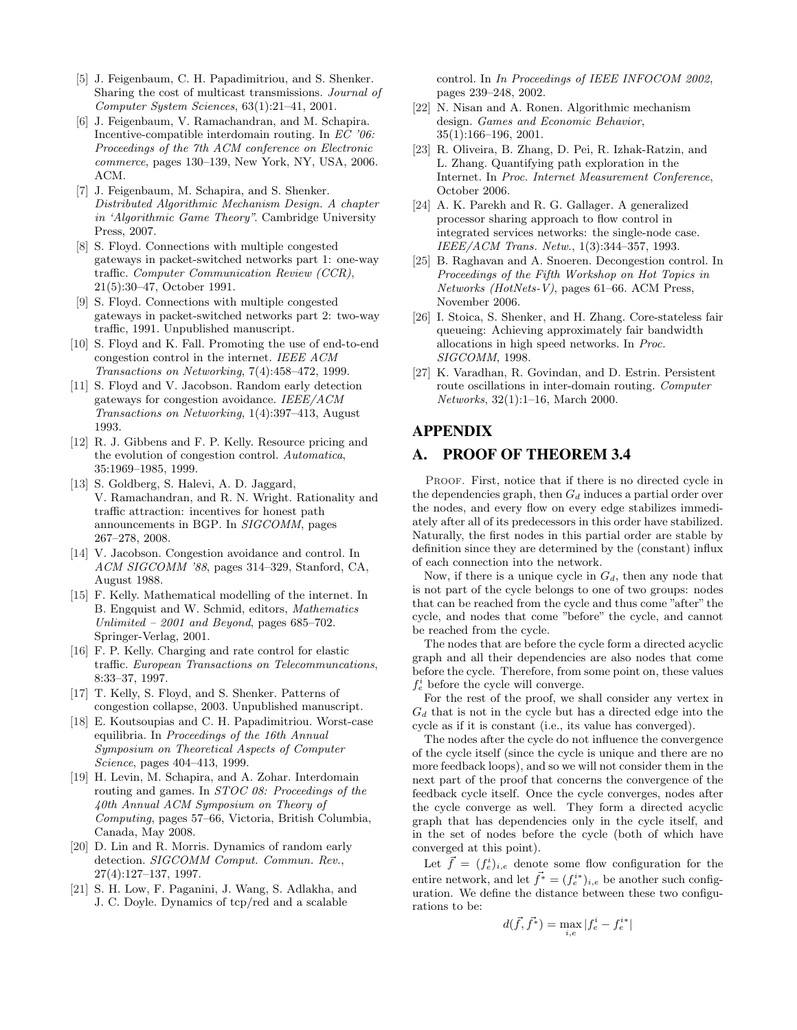- [5] J. Feigenbaum, C. H. Papadimitriou, and S. Shenker. Sharing the cost of multicast transmissions. Journal of Computer System Sciences, 63(1):21–41, 2001.
- [6] J. Feigenbaum, V. Ramachandran, and M. Schapira. Incentive-compatible interdomain routing. In EC '06: Proceedings of the 7th ACM conference on Electronic commerce, pages 130–139, New York, NY, USA, 2006. ACM.
- [7] J. Feigenbaum, M. Schapira, and S. Shenker. Distributed Algorithmic Mechanism Design. A chapter in 'Algorithmic Game Theory". Cambridge University Press, 2007.
- [8] S. Floyd. Connections with multiple congested gateways in packet-switched networks part 1: one-way traffic. Computer Communication Review (CCR), 21(5):30–47, October 1991.
- [9] S. Floyd. Connections with multiple congested gateways in packet-switched networks part 2: two-way traffic, 1991. Unpublished manuscript.
- [10] S. Floyd and K. Fall. Promoting the use of end-to-end congestion control in the internet. IEEE ACM Transactions on Networking, 7(4):458–472, 1999.
- [11] S. Floyd and V. Jacobson. Random early detection gateways for congestion avoidance. IEEE/ACM Transactions on Networking, 1(4):397–413, August 1993.
- [12] R. J. Gibbens and F. P. Kelly. Resource pricing and the evolution of congestion control. Automatica, 35:1969–1985, 1999.
- [13] S. Goldberg, S. Halevi, A. D. Jaggard, V. Ramachandran, and R. N. Wright. Rationality and traffic attraction: incentives for honest path announcements in BGP. In SIGCOMM, pages 267–278, 2008.
- [14] V. Jacobson. Congestion avoidance and control. In ACM SIGCOMM '88, pages 314–329, Stanford, CA, August 1988.
- [15] F. Kelly. Mathematical modelling of the internet. In B. Engquist and W. Schmid, editors, Mathematics Unlimited –  $2001$  and Beyond, pages 685–702. Springer-Verlag, 2001.
- [16] F. P. Kelly. Charging and rate control for elastic traffic. European Transactions on Telecommuncations, 8:33–37, 1997.
- [17] T. Kelly, S. Floyd, and S. Shenker. Patterns of congestion collapse, 2003. Unpublished manuscript.
- [18] E. Koutsoupias and C. H. Papadimitriou. Worst-case equilibria. In Proceedings of the 16th Annual Symposium on Theoretical Aspects of Computer Science, pages 404–413, 1999.
- [19] H. Levin, M. Schapira, and A. Zohar. Interdomain routing and games. In STOC 08: Proceedings of the 40th Annual ACM Symposium on Theory of Computing, pages 57–66, Victoria, British Columbia, Canada, May 2008.
- [20] D. Lin and R. Morris. Dynamics of random early detection. SIGCOMM Comput. Commun. Rev., 27(4):127–137, 1997.
- [21] S. H. Low, F. Paganini, J. Wang, S. Adlakha, and J. C. Doyle. Dynamics of tcp/red and a scalable

control. In In Proceedings of IEEE INFOCOM 2002, pages 239–248, 2002.

- [22] N. Nisan and A. Ronen. Algorithmic mechanism design. Games and Economic Behavior, 35(1):166–196, 2001.
- [23] R. Oliveira, B. Zhang, D. Pei, R. Izhak-Ratzin, and L. Zhang. Quantifying path exploration in the Internet. In Proc. Internet Measurement Conference, October 2006.
- [24] A. K. Parekh and R. G. Gallager. A generalized processor sharing approach to flow control in integrated services networks: the single-node case. IEEE/ACM Trans. Netw., 1(3):344–357, 1993.
- [25] B. Raghavan and A. Snoeren. Decongestion control. In Proceedings of the Fifth Workshop on Hot Topics in Networks (HotNets-V), pages 61–66. ACM Press, November 2006.
- [26] I. Stoica, S. Shenker, and H. Zhang. Core-stateless fair queueing: Achieving approximately fair bandwidth allocations in high speed networks. In Proc. SIGCOMM, 1998.
- [27] K. Varadhan, R. Govindan, and D. Estrin. Persistent route oscillations in inter-domain routing. Computer Networks, 32(1):1–16, March 2000.

# APPENDIX

# A. PROOF OF THEOREM 3.4

PROOF. First, notice that if there is no directed cycle in the dependencies graph, then  $G_d$  induces a partial order over the nodes, and every flow on every edge stabilizes immediately after all of its predecessors in this order have stabilized. Naturally, the first nodes in this partial order are stable by definition since they are determined by the (constant) influx of each connection into the network.

Now, if there is a unique cycle in  $G_d$ , then any node that is not part of the cycle belongs to one of two groups: nodes that can be reached from the cycle and thus come "after" the cycle, and nodes that come "before" the cycle, and cannot be reached from the cycle.

The nodes that are before the cycle form a directed acyclic graph and all their dependencies are also nodes that come before the cycle. Therefore, from some point on, these values  $f_e^i$  before the cycle will converge.

For the rest of the proof, we shall consider any vertex in  $G_d$  that is not in the cycle but has a directed edge into the cycle as if it is constant (i.e., its value has converged).

The nodes after the cycle do not influence the convergence of the cycle itself (since the cycle is unique and there are no more feedback loops), and so we will not consider them in the next part of the proof that concerns the convergence of the feedback cycle itself. Once the cycle converges, nodes after the cycle converge as well. They form a directed acyclic graph that has dependencies only in the cycle itself, and in the set of nodes before the cycle (both of which have converged at this point).

Let  $\vec{f} = (f_e^i)_{i,e}$  denote some flow configuration for the entire network, and let  $\vec{f}^* = (f_e^{i*})_{i,e}$  be another such configuration. We define the distance between these two configurations to be:

$$
d(\vec{f}, \vec{f^*}) = \max_{i,e} |f_e^i - f_e^{i*}|
$$